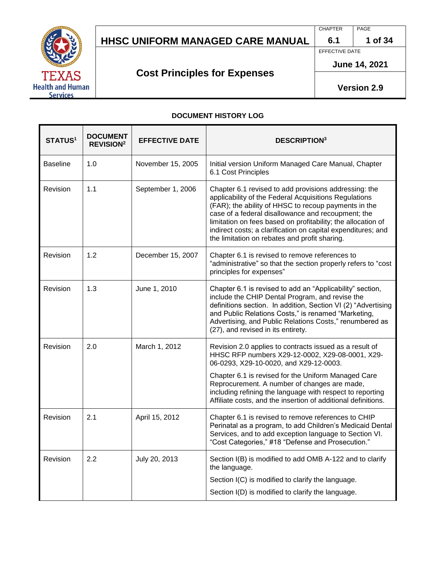

# **HHSC Uniform Managed Care MANUAL HHSC UNIFORM MANAGED CARE MANUAL 6.1 1 of 34**

# **Cost Principles for Expenses**

EFFECTIVE DATE

CHAPTER PAGE

**June 14, 2021**

**Version 2.9**

#### **DOCUMENT HISTORY LOG**

| <b>STATUS1</b>  | <b>DOCUMENT</b><br><b>REVISION<sup>2</sup></b> | <b>EFFECTIVE DATE</b> | <b>DESCRIPTION3</b>                                                                                                                                                                                                                                                                                                                                                                                           |  |
|-----------------|------------------------------------------------|-----------------------|---------------------------------------------------------------------------------------------------------------------------------------------------------------------------------------------------------------------------------------------------------------------------------------------------------------------------------------------------------------------------------------------------------------|--|
| <b>Baseline</b> | 1.0                                            | November 15, 2005     | Initial version Uniform Managed Care Manual, Chapter<br>6.1 Cost Principles                                                                                                                                                                                                                                                                                                                                   |  |
| Revision        | 1.1                                            | September 1, 2006     | Chapter 6.1 revised to add provisions addressing: the<br>applicability of the Federal Acquisitions Regulations<br>(FAR); the ability of HHSC to recoup payments in the<br>case of a federal disallowance and recoupment; the<br>limitation on fees based on profitability; the allocation of<br>indirect costs; a clarification on capital expenditures; and<br>the limitation on rebates and profit sharing. |  |
| Revision        | 1.2                                            | December 15, 2007     | Chapter 6.1 is revised to remove references to<br>"administrative" so that the section properly refers to "cost<br>principles for expenses"                                                                                                                                                                                                                                                                   |  |
| Revision        | 1.3                                            | June 1, 2010          | Chapter 6.1 is revised to add an "Applicability" section,<br>include the CHIP Dental Program, and revise the<br>definitions section. In addition, Section VI (2) "Advertising<br>and Public Relations Costs," is renamed "Marketing,<br>Advertising, and Public Relations Costs," renumbered as<br>(27), and revised in its entirety.                                                                         |  |
| Revision        | 2.0                                            | March 1, 2012         | Revision 2.0 applies to contracts issued as a result of<br>HHSC RFP numbers X29-12-0002, X29-08-0001, X29-<br>06-0293, X29-10-0020, and X29-12-0003.<br>Chapter 6.1 is revised for the Uniform Managed Care<br>Reprocurement. A number of changes are made,<br>including refining the language with respect to reporting<br>Affiliate costs, and the insertion of additional definitions.                     |  |
| Revision        | 2.1                                            | April 15, 2012        | Chapter 6.1 is revised to remove references to CHIP<br>Perinatal as a program, to add Children's Medicaid Dental<br>Services, and to add exception language to Section VI.<br>"Cost Categories," #18 "Defense and Prosecution."                                                                                                                                                                               |  |
| Revision        | 2.2                                            | July 20, 2013         | Section I(B) is modified to add OMB A-122 and to clarify<br>the language.<br>Section I(C) is modified to clarify the language.<br>Section I(D) is modified to clarify the language.                                                                                                                                                                                                                           |  |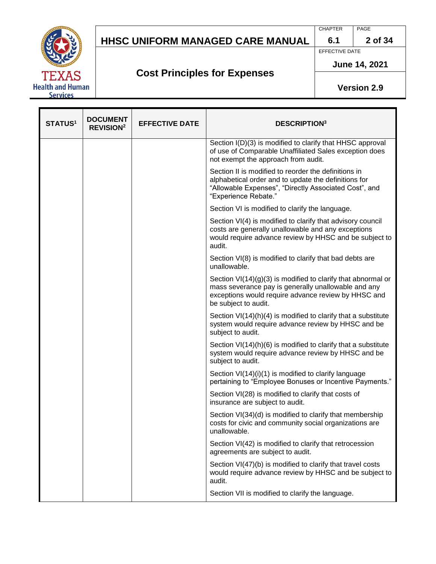

## **HHSC Uniform Managed Care MANUAL HHSC UNIFORM MANAGED CARE MANUAL 6.1 2 of 34**

# **Cost Principles for Expenses**

CHAPTER PAGE EFFECTIVE DATE

**June 14, 2021**

**Version 2.9**

| <b>STATUS1</b> | <b>DOCUMENT</b><br><b>REVISION<sup>2</sup></b> | <b>EFFECTIVE DATE</b> | <b>DESCRIPTION</b> <sup>3</sup>                                                                                                                                                                      |  |
|----------------|------------------------------------------------|-----------------------|------------------------------------------------------------------------------------------------------------------------------------------------------------------------------------------------------|--|
|                |                                                |                       | Section I(D)(3) is modified to clarify that HHSC approval<br>of use of Comparable Unaffiliated Sales exception does<br>not exempt the approach from audit.                                           |  |
|                |                                                |                       | Section II is modified to reorder the definitions in<br>alphabetical order and to update the definitions for<br>"Allowable Expenses", "Directly Associated Cost", and<br>"Experience Rebate."        |  |
|                |                                                |                       | Section VI is modified to clarify the language.                                                                                                                                                      |  |
|                |                                                |                       | Section VI(4) is modified to clarify that advisory council<br>costs are generally unallowable and any exceptions<br>would require advance review by HHSC and be subject to<br>audit.                 |  |
|                |                                                |                       | Section VI(8) is modified to clarify that bad debts are<br>unallowable.                                                                                                                              |  |
|                |                                                |                       | Section $VI(14)(g)(3)$ is modified to clarify that abnormal or<br>mass severance pay is generally unallowable and any<br>exceptions would require advance review by HHSC and<br>be subject to audit. |  |
|                |                                                |                       | Section $VI(14)(h)(4)$ is modified to clarify that a substitute<br>system would require advance review by HHSC and be<br>subject to audit.                                                           |  |
|                |                                                |                       | Section $VI(14)(h)(6)$ is modified to clarify that a substitute<br>system would require advance review by HHSC and be<br>subject to audit.                                                           |  |
|                |                                                |                       | Section VI(14)(i)(1) is modified to clarify language<br>pertaining to "Employee Bonuses or Incentive Payments."                                                                                      |  |
|                |                                                |                       | Section VI(28) is modified to clarify that costs of<br>insurance are subject to audit.                                                                                                               |  |
|                |                                                |                       | Section VI(34)(d) is modified to clarify that membership<br>costs for civic and community social organizations are<br>unallowable.                                                                   |  |
|                |                                                |                       | Section VI(42) is modified to clarify that retrocession<br>agreements are subject to audit.                                                                                                          |  |
|                |                                                |                       | Section VI(47)(b) is modified to clarify that travel costs<br>would require advance review by HHSC and be subject to<br>audit.                                                                       |  |
|                |                                                |                       | Section VII is modified to clarify the language.                                                                                                                                                     |  |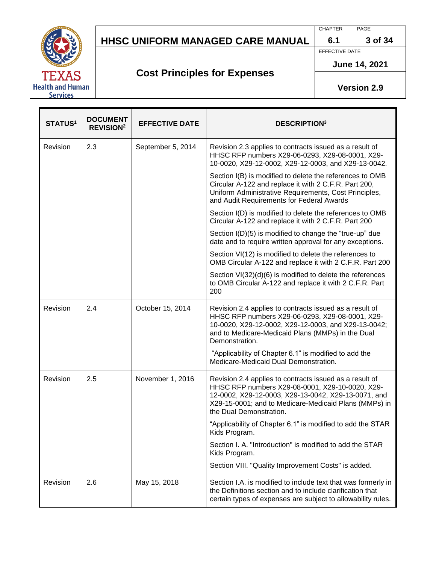

## **HHSC Uniform Managed Care MANUAL HHSC UNIFORM MANAGED CARE MANUAL 6.1 3 of 34**

# **Cost Principles for Expenses**

CHAPTER PAGE EFFECTIVE DATE

**June 14, 2021**

**Version 2.9**

| <b>STATUS1</b> | <b>DOCUMENT</b><br><b>REVISION<sup>2</sup></b> | <b>EFFECTIVE DATE</b> | <b>DESCRIPTION3</b>                                                                                                                                                                                                                                   |  |  |
|----------------|------------------------------------------------|-----------------------|-------------------------------------------------------------------------------------------------------------------------------------------------------------------------------------------------------------------------------------------------------|--|--|
| Revision       | 2.3                                            | September 5, 2014     | Revision 2.3 applies to contracts issued as a result of<br>HHSC RFP numbers X29-06-0293, X29-08-0001, X29-<br>10-0020, X29-12-0002, X29-12-0003, and X29-13-0042.                                                                                     |  |  |
|                |                                                |                       | Section I(B) is modified to delete the references to OMB<br>Circular A-122 and replace it with 2 C.F.R. Part 200,<br>Uniform Administrative Requirements, Cost Principles,<br>and Audit Requirements for Federal Awards                               |  |  |
|                |                                                |                       | Section I(D) is modified to delete the references to OMB<br>Circular A-122 and replace it with 2 C.F.R. Part 200                                                                                                                                      |  |  |
|                |                                                |                       | Section I(D)(5) is modified to change the "true-up" due<br>date and to require written approval for any exceptions.                                                                                                                                   |  |  |
|                |                                                |                       | Section VI(12) is modified to delete the references to<br>OMB Circular A-122 and replace it with 2 C.F.R. Part 200                                                                                                                                    |  |  |
|                |                                                |                       | Section VI(32)(d)(6) is modified to delete the references<br>to OMB Circular A-122 and replace it with 2 C.F.R. Part<br>200                                                                                                                           |  |  |
| Revision       | 2.4                                            | October 15, 2014      | Revision 2.4 applies to contracts issued as a result of<br>HHSC RFP numbers X29-06-0293, X29-08-0001, X29-<br>10-0020, X29-12-0002, X29-12-0003, and X29-13-0042;<br>and to Medicare-Medicaid Plans (MMPs) in the Dual<br>Demonstration.              |  |  |
|                |                                                |                       | "Applicability of Chapter 6.1" is modified to add the<br>Medicare-Medicaid Dual Demonstration.                                                                                                                                                        |  |  |
| Revision       | 2.5                                            | November 1, 2016      | Revision 2.4 applies to contracts issued as a result of<br>HHSC RFP numbers X29-08-0001, X29-10-0020, X29-<br>12-0002, X29-12-0003, X29-13-0042, X29-13-0071, and<br>X29-15-0001; and to Medicare-Medicaid Plans (MMPs) in<br>the Dual Demonstration. |  |  |
|                |                                                |                       | "Applicability of Chapter 6.1" is modified to add the STAR<br>Kids Program.                                                                                                                                                                           |  |  |
|                |                                                |                       | Section I. A. "Introduction" is modified to add the STAR<br>Kids Program.                                                                                                                                                                             |  |  |
|                |                                                |                       | Section VIII. "Quality Improvement Costs" is added.                                                                                                                                                                                                   |  |  |
| Revision       | 2.6                                            | May 15, 2018          | Section I.A. is modified to include text that was formerly in<br>the Definitions section and to include clarification that<br>certain types of expenses are subject to allowability rules.                                                            |  |  |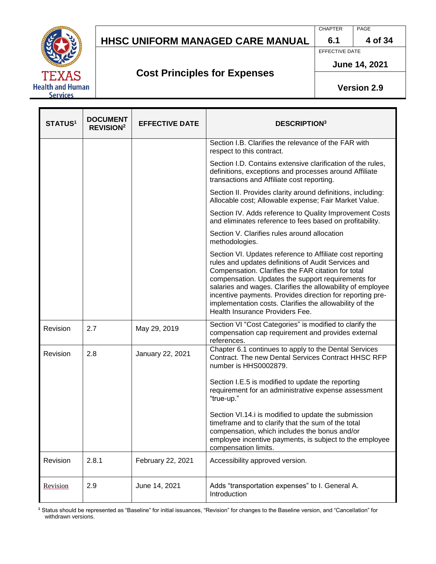

### **HHSC Uniform Managed Care MANUAL HHSC UNIFORM MANAGED CARE MANUAL 6.1 4 of 34**

### **Cost Principles for Expenses**

CHAPTER PAGE

EFFECTIVE DATE

**June 14, 2021**

**Version 2.9**

| <b>STATUS1</b> | <b>DOCUMENT</b><br><b>REVISION<sup>2</sup></b> | <b>EFFECTIVE DATE</b> | <b>DESCRIPTION3</b>                                                                                                                                                                                                                                                                                                                                                                                                                                   |  |  |
|----------------|------------------------------------------------|-----------------------|-------------------------------------------------------------------------------------------------------------------------------------------------------------------------------------------------------------------------------------------------------------------------------------------------------------------------------------------------------------------------------------------------------------------------------------------------------|--|--|
|                |                                                |                       | Section I.B. Clarifies the relevance of the FAR with<br>respect to this contract.                                                                                                                                                                                                                                                                                                                                                                     |  |  |
|                |                                                |                       | Section I.D. Contains extensive clarification of the rules,<br>definitions, exceptions and processes around Affiliate<br>transactions and Affiliate cost reporting.                                                                                                                                                                                                                                                                                   |  |  |
|                |                                                |                       | Section II. Provides clarity around definitions, including:<br>Allocable cost; Allowable expense; Fair Market Value.                                                                                                                                                                                                                                                                                                                                  |  |  |
|                |                                                |                       | Section IV. Adds reference to Quality Improvement Costs<br>and eliminates reference to fees based on profitability.                                                                                                                                                                                                                                                                                                                                   |  |  |
|                |                                                |                       | Section V. Clarifies rules around allocation<br>methodologies.                                                                                                                                                                                                                                                                                                                                                                                        |  |  |
|                |                                                |                       | Section VI. Updates reference to Affiliate cost reporting<br>rules and updates definitions of Audit Services and<br>Compensation. Clarifies the FAR citation for total<br>compensation. Updates the support requirements for<br>salaries and wages. Clarifies the allowability of employee<br>incentive payments. Provides direction for reporting pre-<br>implementation costs. Clarifies the allowability of the<br>Health Insurance Providers Fee. |  |  |
| Revision       | 2.7                                            | May 29, 2019          | Section VI "Cost Categories" is modified to clarify the<br>compensation cap requirement and provides external<br>references.                                                                                                                                                                                                                                                                                                                          |  |  |
| Revision       | 2.8                                            | January 22, 2021      | Chapter 6.1 continues to apply to the Dental Services<br>Contract. The new Dental Services Contract HHSC RFP<br>number is HHS0002879.                                                                                                                                                                                                                                                                                                                 |  |  |
|                |                                                |                       | Section I.E.5 is modified to update the reporting<br>requirement for an administrative expense assessment<br>"true-up."                                                                                                                                                                                                                                                                                                                               |  |  |
|                |                                                |                       | Section VI.14.i is modified to update the submission<br>timeframe and to clarify that the sum of the total<br>compensation, which includes the bonus and/or<br>employee incentive payments, is subject to the employee<br>compensation limits.                                                                                                                                                                                                        |  |  |
| Revision       | 2.8.1                                          | February 22, 2021     | Accessibility approved version.                                                                                                                                                                                                                                                                                                                                                                                                                       |  |  |
| Revision       | 2.9                                            | June 14, 2021         | Adds "transportation expenses" to I. General A.<br>Introduction                                                                                                                                                                                                                                                                                                                                                                                       |  |  |

**<sup>1</sup>** Status should be represented as "Baseline" for initial issuances, "Revision" for changes to the Baseline version, and "Cancellation" for withdrawn versions.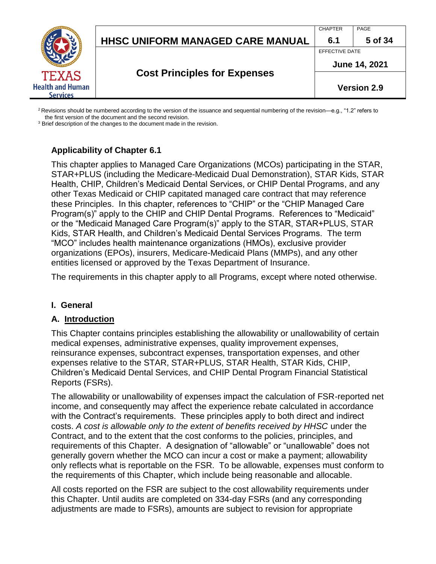

<sup>2</sup> Revisions should be numbered according to the version of the issuance and sequential numbering of the revision—e.g., "1.2" refers to the first version of the document and the second revision.

<sup>3</sup> Brief description of the changes to the document made in the revision.

#### **Applicability of Chapter 6.1**

This chapter applies to Managed Care Organizations (MCOs) participating in the STAR, STAR+PLUS (including the Medicare-Medicaid Dual Demonstration), STAR Kids, STAR Health, CHIP, Children's Medicaid Dental Services, or CHIP Dental Programs, and any other Texas Medicaid or CHIP capitated managed care contract that may reference these Principles. In this chapter, references to "CHIP" or the "CHIP Managed Care Program(s)" apply to the CHIP and CHIP Dental Programs. References to "Medicaid" or the "Medicaid Managed Care Program(s)" apply to the STAR, STAR+PLUS, STAR Kids, STAR Health, and Children's Medicaid Dental Services Programs. The term "MCO" includes health maintenance organizations (HMOs), exclusive provider organizations (EPOs), insurers, Medicare-Medicaid Plans (MMPs), and any other entities licensed or approved by the Texas Department of Insurance.

The requirements in this chapter apply to all Programs, except where noted otherwise.

#### **I. General**

#### **A. Introduction**

This Chapter contains principles establishing the allowability or unallowability of certain medical expenses, administrative expenses, quality improvement expenses, reinsurance expenses, subcontract expenses, transportation expenses, and other expenses relative to the STAR, STAR+PLUS, STAR Health, STAR Kids, CHIP, Children's Medicaid Dental Services, and CHIP Dental Program Financial Statistical Reports (FSRs).

The allowability or unallowability of expenses impact the calculation of FSR-reported net income, and consequently may affect the experience rebate calculated in accordance with the Contract's requirements. These principles apply to both direct and indirect costs. *A cost is allowable only to the extent of benefits received by HHSC* under the Contract, and to the extent that the cost conforms to the policies, principles, and requirements of this Chapter. A designation of "allowable" or "unallowable" does not generally govern whether the MCO can incur a cost or make a payment; allowability only reflects what is reportable on the FSR. To be allowable, expenses must conform to the requirements of this Chapter, which include being reasonable and allocable.

All costs reported on the FSR are subject to the cost allowability requirements under this Chapter. Until audits are completed on 334-day FSRs (and any corresponding adjustments are made to FSRs), amounts are subject to revision for appropriate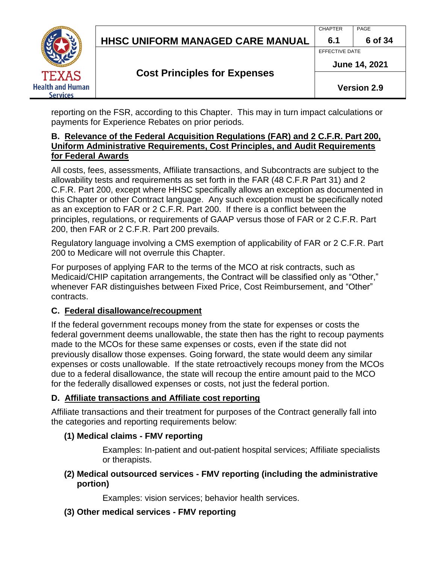

reporting on the FSR, according to this Chapter. This may in turn impact calculations or payments for Experience Rebates on prior periods.

### **B. Relevance of the Federal Acquisition Regulations (FAR) and 2 C.F.R. Part 200, Uniform Administrative Requirements, Cost Principles, and Audit Requirements for Federal Awards**

All costs, fees, assessments, Affiliate transactions, and Subcontracts are subject to the allowability tests and requirements as set forth in the FAR (48 C.F.R Part 31) and 2 C.F.R. Part 200, except where HHSC specifically allows an exception as documented in this Chapter or other Contract language. Any such exception must be specifically noted as an exception to FAR or 2 C.F.R. Part 200. If there is a conflict between the principles, regulations, or requirements of GAAP versus those of FAR or 2 C.F.R. Part 200, then FAR or 2 C.F.R. Part 200 prevails.

Regulatory language involving a CMS exemption of applicability of FAR or 2 C.F.R. Part 200 to Medicare will not overrule this Chapter.

For purposes of applying FAR to the terms of the MCO at risk contracts, such as Medicaid/CHIP capitation arrangements, the Contract will be classified only as "Other," whenever FAR distinguishes between Fixed Price, Cost Reimbursement, and "Other" contracts.

### **C. Federal disallowance/recoupment**

If the federal government recoups money from the state for expenses or costs the federal government deems unallowable, the state then has the right to recoup payments made to the MCOs for these same expenses or costs, even if the state did not previously disallow those expenses. Going forward, the state would deem any similar expenses or costs unallowable. If the state retroactively recoups money from the MCOs due to a federal disallowance, the state will recoup the entire amount paid to the MCO for the federally disallowed expenses or costs, not just the federal portion.

### **D. Affiliate transactions and Affiliate cost reporting**

Affiliate transactions and their treatment for purposes of the Contract generally fall into the categories and reporting requirements below:

### **(1) Medical claims - FMV reporting**

Examples: In-patient and out-patient hospital services; Affiliate specialists or therapists.

**(2) Medical outsourced services - FMV reporting (including the administrative portion)**

Examples: vision services; behavior health services.

**(3) Other medical services - FMV reporting**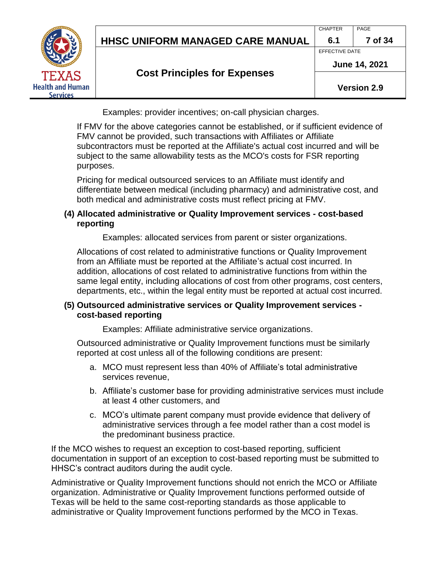

Examples: provider incentives; on-call physician charges.

If FMV for the above categories cannot be established, or if sufficient evidence of FMV cannot be provided, such transactions with Affiliates or Affiliate subcontractors must be reported at the Affiliate's actual cost incurred and will be subject to the same allowability tests as the MCO's costs for FSR reporting purposes.

Pricing for medical outsourced services to an Affiliate must identify and differentiate between medical (including pharmacy) and administrative cost, and both medical and administrative costs must reflect pricing at FMV.

#### **(4) Allocated administrative or Quality Improvement services - cost-based reporting**

Examples: allocated services from parent or sister organizations.

Allocations of cost related to administrative functions or Quality Improvement from an Affiliate must be reported at the Affiliate's actual cost incurred. In addition, allocations of cost related to administrative functions from within the same legal entity, including allocations of cost from other programs, cost centers, departments, etc., within the legal entity must be reported at actual cost incurred.

#### **(5) Outsourced administrative services or Quality Improvement services cost-based reporting**

Examples: Affiliate administrative service organizations.

Outsourced administrative or Quality Improvement functions must be similarly reported at cost unless all of the following conditions are present:

- a. MCO must represent less than 40% of Affiliate's total administrative services revenue,
- b. Affiliate's customer base for providing administrative services must include at least 4 other customers, and
- c. MCO's ultimate parent company must provide evidence that delivery of administrative services through a fee model rather than a cost model is the predominant business practice.

If the MCO wishes to request an exception to cost-based reporting, sufficient documentation in support of an exception to cost-based reporting must be submitted to HHSC's contract auditors during the audit cycle.

Administrative or Quality Improvement functions should not enrich the MCO or Affiliate organization. Administrative or Quality Improvement functions performed outside of Texas will be held to the same cost-reporting standards as those applicable to administrative or Quality Improvement functions performed by the MCO in Texas.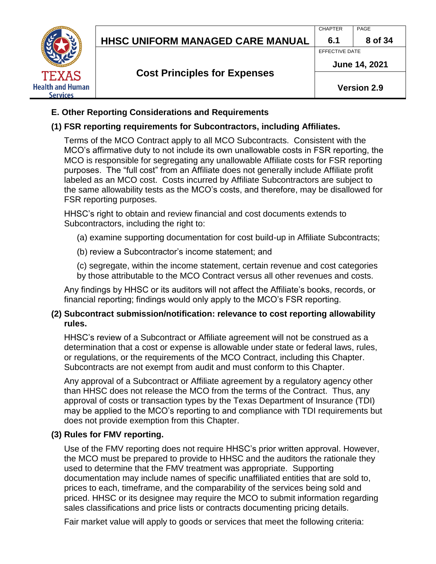

### **E. Other Reporting Considerations and Requirements**

### **(1) FSR reporting requirements for Subcontractors, including Affiliates.**

Terms of the MCO Contract apply to all MCO Subcontracts. Consistent with the MCO's affirmative duty to not include its own unallowable costs in FSR reporting, the MCO is responsible for segregating any unallowable Affiliate costs for FSR reporting purposes. The "full cost" from an Affiliate does not generally include Affiliate profit labeled as an MCO cost. Costs incurred by Affiliate Subcontractors are subject to the same allowability tests as the MCO's costs, and therefore, may be disallowed for FSR reporting purposes.

HHSC's right to obtain and review financial and cost documents extends to Subcontractors, including the right to:

- (a) examine supporting documentation for cost build-up in Affiliate Subcontracts;
- (b) review a Subcontractor's income statement; and

(c) segregate, within the income statement, certain revenue and cost categories by those attributable to the MCO Contract versus all other revenues and costs.

Any findings by HHSC or its auditors will not affect the Affiliate's books, records, or financial reporting; findings would only apply to the MCO's FSR reporting.

### **(2) Subcontract submission/notification: relevance to cost reporting allowability rules.**

HHSC's review of a Subcontract or Affiliate agreement will not be construed as a determination that a cost or expense is allowable under state or federal laws, rules, or regulations, or the requirements of the MCO Contract, including this Chapter. Subcontracts are not exempt from audit and must conform to this Chapter.

Any approval of a Subcontract or Affiliate agreement by a regulatory agency other than HHSC does not release the MCO from the terms of the Contract. Thus, any approval of costs or transaction types by the Texas Department of Insurance (TDI) may be applied to the MCO's reporting to and compliance with TDI requirements but does not provide exemption from this Chapter.

### **(3) Rules for FMV reporting.**

Use of the FMV reporting does not require HHSC's prior written approval. However, the MCO must be prepared to provide to HHSC and the auditors the rationale they used to determine that the FMV treatment was appropriate. Supporting documentation may include names of specific unaffiliated entities that are sold to, prices to each, timeframe, and the comparability of the services being sold and priced. HHSC or its designee may require the MCO to submit information regarding sales classifications and price lists or contracts documenting pricing details.

Fair market value will apply to goods or services that meet the following criteria: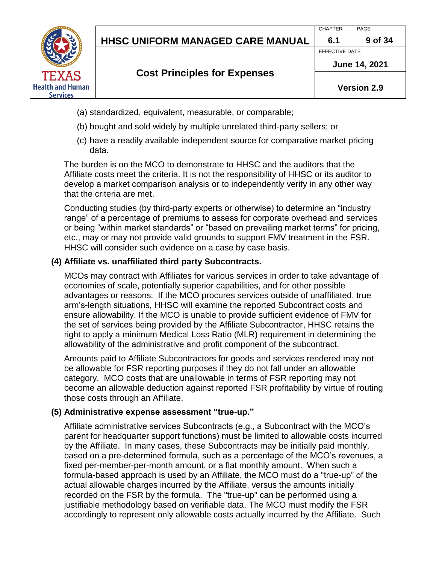

- (a) standardized, equivalent, measurable, or comparable;
- (b) bought and sold widely by multiple unrelated third-party sellers; or
- (c) have a readily available independent source for comparative market pricing data.

The burden is on the MCO to demonstrate to HHSC and the auditors that the Affiliate costs meet the criteria. It is not the responsibility of HHSC or its auditor to develop a market comparison analysis or to independently verify in any other way that the criteria are met.

Conducting studies (by third-party experts or otherwise) to determine an "industry range" of a percentage of premiums to assess for corporate overhead and services or being "within market standards" or "based on prevailing market terms" for pricing, etc., may or may not provide valid grounds to support FMV treatment in the FSR. HHSC will consider such evidence on a case by case basis.

### **(4) Affiliate vs. unaffiliated third party Subcontracts.**

MCOs may contract with Affiliates for various services in order to take advantage of economies of scale, potentially superior capabilities, and for other possible advantages or reasons. If the MCO procures services outside of unaffiliated, true arm's-length situations, HHSC will examine the reported Subcontract costs and ensure allowability. If the MCO is unable to provide sufficient evidence of FMV for the set of services being provided by the Affiliate Subcontractor, HHSC retains the right to apply a minimum Medical Loss Ratio (MLR) requirement in determining the allowability of the administrative and profit component of the subcontract.

Amounts paid to Affiliate Subcontractors for goods and services rendered may not be allowable for FSR reporting purposes if they do not fall under an allowable category. MCO costs that are unallowable in terms of FSR reporting may not become an allowable deduction against reported FSR profitability by virtue of routing those costs through an Affiliate.

### **(5) Administrative expense assessment "true-up."**

Affiliate administrative services Subcontracts (e.g., a Subcontract with the MCO's parent for headquarter support functions) must be limited to allowable costs incurred by the Affiliate. In many cases, these Subcontracts may be initially paid monthly, based on a pre-determined formula, such as a percentage of the MCO's revenues, a fixed per-member-per-month amount, or a flat monthly amount. When such a formula-based approach is used by an Affiliate, the MCO must do a "true-up" of the actual allowable charges incurred by the Affiliate, versus the amounts initially recorded on the FSR by the formula. The "true-up" can be performed using a justifiable methodology based on verifiable data. The MCO must modify the FSR accordingly to represent only allowable costs actually incurred by the Affiliate. Such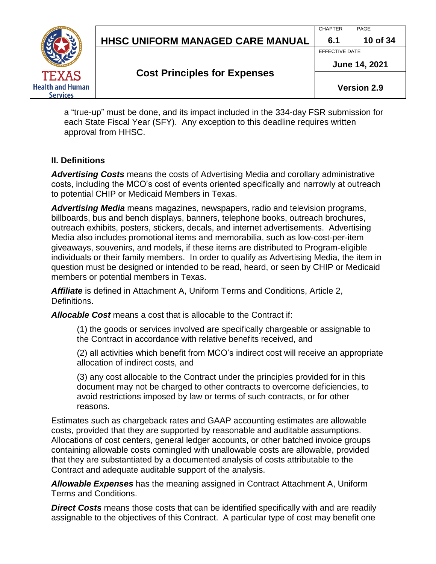

a "true-up" must be done, and its impact included in the 334-day FSR submission for each State Fiscal Year (SFY). Any exception to this deadline requires written approval from HHSC.

### **II. Definitions**

*Advertising Costs* means the costs of Advertising Media and corollary administrative costs, including the MCO's cost of events oriented specifically and narrowly at outreach to potential CHIP or Medicaid Members in Texas.

*Advertising Media* means magazines, newspapers, radio and television programs, billboards, bus and bench displays, banners, telephone books, outreach brochures, outreach exhibits, posters, stickers, decals, and internet advertisements. Advertising Media also includes promotional items and memorabilia, such as low-cost-per-item giveaways, souvenirs, and models, if these items are distributed to Program-eligible individuals or their family members. In order to qualify as Advertising Media, the item in question must be designed or intended to be read, heard, or seen by CHIP or Medicaid members or potential members in Texas.

*Affiliate* is defined in Attachment A, Uniform Terms and Conditions, Article 2, Definitions.

*Allocable Cost* means a cost that is allocable to the Contract if:

(1) the goods or services involved are specifically chargeable or assignable to the Contract in accordance with relative benefits received, and

(2) all activities which benefit from MCO's indirect cost will receive an appropriate allocation of indirect costs, and

(3) any cost allocable to the Contract under the principles provided for in this document may not be charged to other contracts to overcome deficiencies, to avoid restrictions imposed by law or terms of such contracts, or for other reasons.

Estimates such as chargeback rates and GAAP accounting estimates are allowable costs, provided that they are supported by reasonable and auditable assumptions. Allocations of cost centers, general ledger accounts, or other batched invoice groups containing allowable costs comingled with unallowable costs are allowable, provided that they are substantiated by a documented analysis of costs attributable to the Contract and adequate auditable support of the analysis.

*Allowable Expenses* has the meaning assigned in Contract Attachment A, Uniform Terms and Conditions.

*Direct Costs* means those costs that can be identified specifically with and are readily assignable to the objectives of this Contract. A particular type of cost may benefit one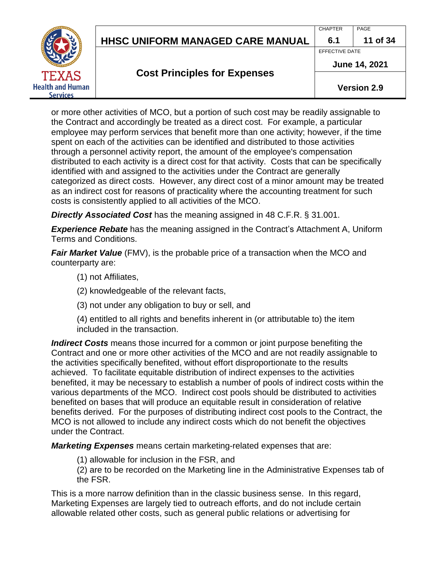

or more other activities of MCO, but a portion of such cost may be readily assignable to the Contract and accordingly be treated as a direct cost. For example, a particular employee may perform services that benefit more than one activity; however, if the time spent on each of the activities can be identified and distributed to those activities through a personnel activity report, the amount of the employee's compensation distributed to each activity is a direct cost for that activity. Costs that can be specifically identified with and assigned to the activities under the Contract are generally categorized as direct costs. However, any direct cost of a minor amount may be treated as an indirect cost for reasons of practicality where the accounting treatment for such costs is consistently applied to all activities of the MCO.

*Directly Associated Cost* has the meaning assigned in 48 C.F.R. § 31.001.

*Experience Rebate* has the meaning assigned in the Contract's Attachment A, Uniform Terms and Conditions.

*Fair Market Value* (FMV), is the probable price of a transaction when the MCO and counterparty are:

- (1) not Affiliates,
- (2) knowledgeable of the relevant facts,
- (3) not under any obligation to buy or sell, and
- (4) entitled to all rights and benefits inherent in (or attributable to) the item included in the transaction.

*Indirect Costs* means those incurred for a common or joint purpose benefiting the Contract and one or more other activities of the MCO and are not readily assignable to the activities specifically benefited, without effort disproportionate to the results achieved. To facilitate equitable distribution of indirect expenses to the activities benefited, it may be necessary to establish a number of pools of indirect costs within the various departments of the MCO. Indirect cost pools should be distributed to activities benefited on bases that will produce an equitable result in consideration of relative benefits derived. For the purposes of distributing indirect cost pools to the Contract, the MCO is not allowed to include any indirect costs which do not benefit the objectives under the Contract.

*Marketing Expenses* means certain marketing-related expenses that are:

(1) allowable for inclusion in the FSR, and

(2) are to be recorded on the Marketing line in the Administrative Expenses tab of the FSR.

This is a more narrow definition than in the classic business sense. In this regard, Marketing Expenses are largely tied to outreach efforts, and do not include certain allowable related other costs, such as general public relations or advertising for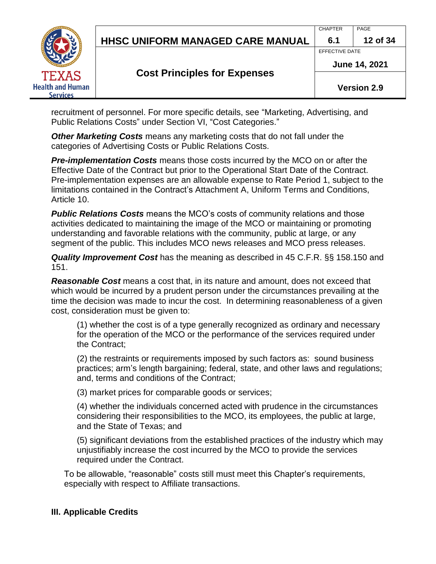

recruitment of personnel. For more specific details, see "Marketing, Advertising, and Public Relations Costs" under Section VI, "Cost Categories."

*Other Marketing Costs* means any marketing costs that do not fall under the categories of Advertising Costs or Public Relations Costs.

*Pre-implementation Costs* means those costs incurred by the MCO on or after the Effective Date of the Contract but prior to the Operational Start Date of the Contract. Pre-implementation expenses are an allowable expense to Rate Period 1, subject to the limitations contained in the Contract's Attachment A, Uniform Terms and Conditions, Article 10.

*Public Relations Costs* means the MCO's costs of community relations and those activities dedicated to maintaining the image of the MCO or maintaining or promoting understanding and favorable relations with the community, public at large, or any segment of the public. This includes MCO news releases and MCO press releases.

*Quality Improvement Cost* has the meaning as described in 45 C.F.R. §§ 158.150 and 151.

*Reasonable Cost* means a cost that, in its nature and amount, does not exceed that which would be incurred by a prudent person under the circumstances prevailing at the time the decision was made to incur the cost. In determining reasonableness of a given cost, consideration must be given to:

(1) whether the cost is of a type generally recognized as ordinary and necessary for the operation of the MCO or the performance of the services required under the Contract;

(2) the restraints or requirements imposed by such factors as: sound business practices; arm's length bargaining; federal, state, and other laws and regulations; and, terms and conditions of the Contract;

(3) market prices for comparable goods or services;

(4) whether the individuals concerned acted with prudence in the circumstances considering their responsibilities to the MCO, its employees, the public at large, and the State of Texas; and

(5) significant deviations from the established practices of the industry which may unjustifiably increase the cost incurred by the MCO to provide the services required under the Contract.

To be allowable, "reasonable" costs still must meet this Chapter's requirements, especially with respect to Affiliate transactions.

### **III. Applicable Credits**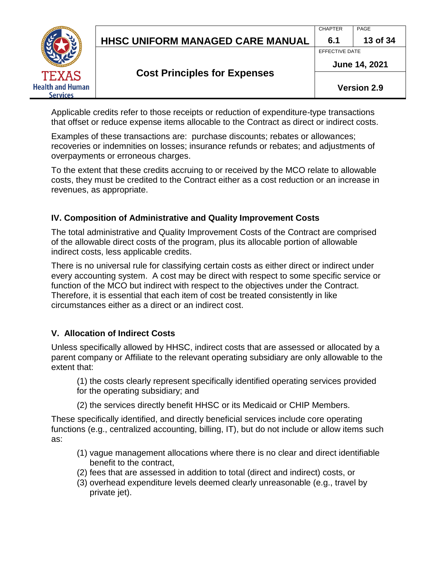

Applicable credits refer to those receipts or reduction of expenditure-type transactions that offset or reduce expense items allocable to the Contract as direct or indirect costs.

Examples of these transactions are: purchase discounts; rebates or allowances; recoveries or indemnities on losses; insurance refunds or rebates; and adjustments of overpayments or erroneous charges.

To the extent that these credits accruing to or received by the MCO relate to allowable costs, they must be credited to the Contract either as a cost reduction or an increase in revenues, as appropriate.

### **IV. Composition of Administrative and Quality Improvement Costs**

The total administrative and Quality Improvement Costs of the Contract are comprised of the allowable direct costs of the program, plus its allocable portion of allowable indirect costs, less applicable credits.

There is no universal rule for classifying certain costs as either direct or indirect under every accounting system. A cost may be direct with respect to some specific service or function of the MCO but indirect with respect to the objectives under the Contract. Therefore, it is essential that each item of cost be treated consistently in like circumstances either as a direct or an indirect cost.

### **V. Allocation of Indirect Costs**

Unless specifically allowed by HHSC, indirect costs that are assessed or allocated by a parent company or Affiliate to the relevant operating subsidiary are only allowable to the extent that:

- (1) the costs clearly represent specifically identified operating services provided for the operating subsidiary; and
- (2) the services directly benefit HHSC or its Medicaid or CHIP Members.

These specifically identified, and directly beneficial services include core operating functions (e.g., centralized accounting, billing, IT), but do not include or allow items such as:

- (1) vague management allocations where there is no clear and direct identifiable benefit to the contract,
- (2) fees that are assessed in addition to total (direct and indirect) costs, or
- (3) overhead expenditure levels deemed clearly unreasonable (e.g., travel by private jet).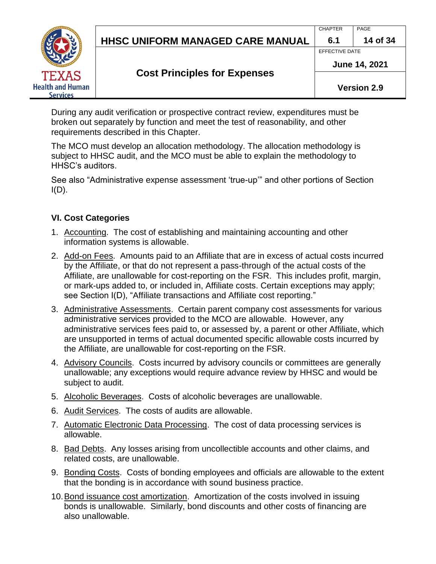

During any audit verification or prospective contract review, expenditures must be broken out separately by function and meet the test of reasonability, and other requirements described in this Chapter.

The MCO must develop an allocation methodology. The allocation methodology is subject to HHSC audit, and the MCO must be able to explain the methodology to HHSC's auditors.

See also "Administrative expense assessment 'true-up'" and other portions of Section  $I(D)$ .

### **VI. Cost Categories**

- 1. Accounting. The cost of establishing and maintaining accounting and other information systems is allowable.
- 2. Add-on Fees. Amounts paid to an Affiliate that are in excess of actual costs incurred by the Affiliate, or that do not represent a pass-through of the actual costs of the Affiliate, are unallowable for cost-reporting on the FSR. This includes profit, margin, or mark-ups added to, or included in, Affiliate costs. Certain exceptions may apply; see Section I(D), "Affiliate transactions and Affiliate cost reporting."
- 3. Administrative Assessments. Certain parent company cost assessments for various administrative services provided to the MCO are allowable. However, any administrative services fees paid to, or assessed by, a parent or other Affiliate, which are unsupported in terms of actual documented specific allowable costs incurred by the Affiliate, are unallowable for cost-reporting on the FSR.
- 4. Advisory Councils. Costs incurred by advisory councils or committees are generally unallowable; any exceptions would require advance review by HHSC and would be subject to audit.
- 5. Alcoholic Beverages. Costs of alcoholic beverages are unallowable.
- 6. Audit Services. The costs of audits are allowable.
- 7. Automatic Electronic Data Processing. The cost of data processing services is allowable.
- 8. Bad Debts. Any losses arising from uncollectible accounts and other claims, and related costs, are unallowable.
- 9. Bonding Costs. Costs of bonding employees and officials are allowable to the extent that the bonding is in accordance with sound business practice.
- 10.Bond issuance cost amortization. Amortization of the costs involved in issuing bonds is unallowable. Similarly, bond discounts and other costs of financing are also unallowable.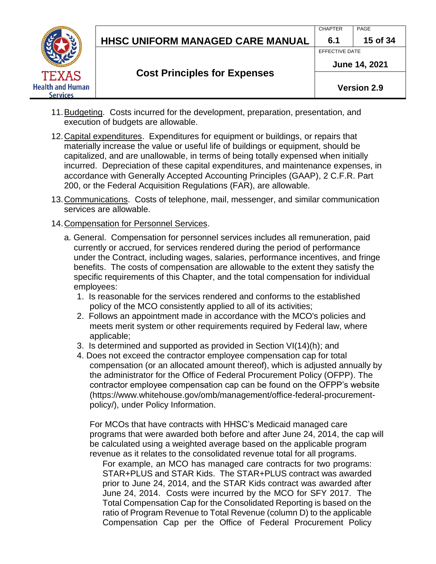

- 11.Budgeting. Costs incurred for the development, preparation, presentation, and execution of budgets are allowable.
- 12.Capital expenditures. Expenditures for equipment or buildings, or repairs that materially increase the value or useful life of buildings or equipment, should be capitalized, and are unallowable, in terms of being totally expensed when initially incurred. Depreciation of these capital expenditures, and maintenance expenses, in accordance with Generally Accepted Accounting Principles (GAAP), 2 C.F.R. Part 200, or the Federal Acquisition Regulations (FAR), are allowable.
- 13.Communications. Costs of telephone, mail, messenger, and similar communication services are allowable.
- 14.Compensation for Personnel Services.
	- a. General. Compensation for personnel services includes all remuneration, paid currently or accrued, for services rendered during the period of performance under the Contract, including wages, salaries, performance incentives, and fringe benefits. The costs of compensation are allowable to the extent they satisfy the specific requirements of this Chapter, and the total compensation for individual employees:
		- 1. Is reasonable for the services rendered and conforms to the established policy of the MCO consistently applied to all of its activities;
		- 2. Follows an appointment made in accordance with the MCO's policies and meets merit system or other requirements required by Federal law, where applicable;
		- 3. Is determined and supported as provided in Section VI(14)(h); and
		- 4. Does not exceed the contractor employee compensation cap for total compensation (or an allocated amount thereof), which is adjusted annually by the administrator for the Office of Federal Procurement Policy (OFPP). The contractor employee compensation cap can be found on the OFPP's website (https://www.whitehouse.gov/omb/management/office-federal-procurementpolicy/), under Policy Information.

For MCOs that have contracts with HHSC's Medicaid managed care programs that were awarded both before and after June 24, 2014, the cap will be calculated using a weighted average based on the applicable program revenue as it relates to the consolidated revenue total for all programs.

For example, an MCO has managed care contracts for two programs: STAR+PLUS and STAR Kids. The STAR+PLUS contract was awarded prior to June 24, 2014, and the STAR Kids contract was awarded after June 24, 2014. Costs were incurred by the MCO for SFY 2017. The Total Compensation Cap for the Consolidated Reporting is based on the ratio of Program Revenue to Total Revenue (column D) to the applicable Compensation Cap per the Office of Federal Procurement Policy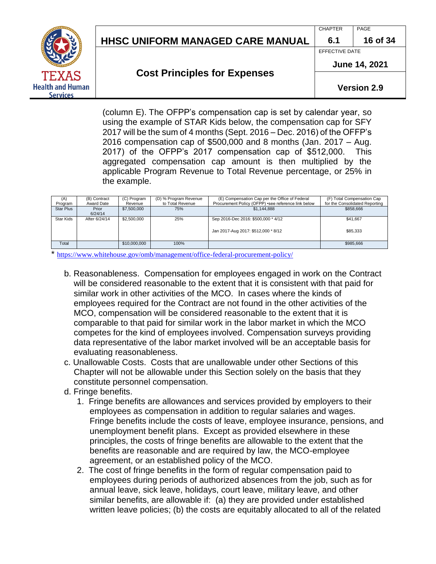

(column E). The OFPP's compensation cap is set by calendar year, so using the example of STAR Kids below, the compensation cap for SFY 2017 will be the sum of 4 months (Sept. 2016 – Dec. 2016) of the OFFP's 2016 compensation cap of \$500,000 and 8 months (Jan. 2017 – Aug. 2017) of the OFPP's 2017 compensation cap of \$512,000. This aggregated compensation cap amount is then multiplied by the applicable Program Revenue to Total Revenue percentage, or 25% in the example.

| (A)<br>Program   | (B) Contract<br>Award Date | (C) Program<br>Revenue | (D) % Program Revenue<br>to Total Revenue | (E) Compensation Cap per the Office of Federal<br>Procurement Policy (OFPP) • see reference link below | (F) Total Compensation Cap<br>for the Consolidated Reporting |  |
|------------------|----------------------------|------------------------|-------------------------------------------|--------------------------------------------------------------------------------------------------------|--------------------------------------------------------------|--|
| <b>Star Plus</b> | Prior<br>6/24/14           | \$7,500,000            | 75%                                       | \$1,144,888                                                                                            | \$858,666                                                    |  |
| Star Kids        | After 6/24/14              | \$2,500,000            | 25%                                       | Sep 2016-Dec 2016: \$500,000 * 4/12                                                                    | \$41.667                                                     |  |
|                  |                            |                        |                                           | Jan 2017-Aug 2017: \$512,000 * 8/12                                                                    | \$85,333                                                     |  |
| Total            |                            | \$10,000,000           | 100%                                      |                                                                                                        | \$985,666                                                    |  |

\* <https://www.whitehouse.gov/omb/management/office-federal-procurement-policy/>

- b. Reasonableness. Compensation for employees engaged in work on the Contract will be considered reasonable to the extent that it is consistent with that paid for similar work in other activities of the MCO. In cases where the kinds of employees required for the Contract are not found in the other activities of the MCO, compensation will be considered reasonable to the extent that it is comparable to that paid for similar work in the labor market in which the MCO competes for the kind of employees involved. Compensation surveys providing data representative of the labor market involved will be an acceptable basis for evaluating reasonableness.
- c. Unallowable Costs. Costs that are unallowable under other Sections of this Chapter will not be allowable under this Section solely on the basis that they constitute personnel compensation.
- d. Fringe benefits.
	- 1. Fringe benefits are allowances and services provided by employers to their employees as compensation in addition to regular salaries and wages. Fringe benefits include the costs of leave, employee insurance, pensions, and unemployment benefit plans. Except as provided elsewhere in these principles, the costs of fringe benefits are allowable to the extent that the benefits are reasonable and are required by law, the MCO-employee agreement, or an established policy of the MCO.
	- 2. The cost of fringe benefits in the form of regular compensation paid to employees during periods of authorized absences from the job, such as for annual leave, sick leave, holidays, court leave, military leave, and other similar benefits, are allowable if: (a) they are provided under established written leave policies; (b) the costs are equitably allocated to all of the related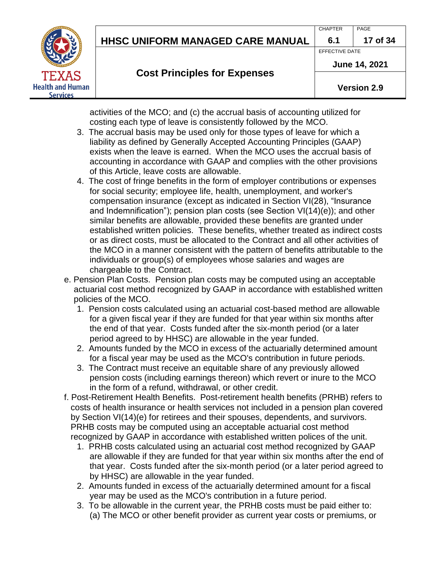

activities of the MCO; and (c) the accrual basis of accounting utilized for costing each type of leave is consistently followed by the MCO.

- 3. The accrual basis may be used only for those types of leave for which a liability as defined by Generally Accepted Accounting Principles (GAAP) exists when the leave is earned. When the MCO uses the accrual basis of accounting in accordance with GAAP and complies with the other provisions of this Article, leave costs are allowable.
- 4. The cost of fringe benefits in the form of employer contributions or expenses for social security; employee life, health, unemployment, and worker's compensation insurance (except as indicated in Section VI(28), "Insurance and Indemnification"); pension plan costs (see Section VI(14)(e)); and other similar benefits are allowable, provided these benefits are granted under established written policies. These benefits, whether treated as indirect costs or as direct costs, must be allocated to the Contract and all other activities of the MCO in a manner consistent with the pattern of benefits attributable to the individuals or group(s) of employees whose salaries and wages are chargeable to the Contract.
- e. Pension Plan Costs. Pension plan costs may be computed using an acceptable actuarial cost method recognized by GAAP in accordance with established written policies of the MCO.
	- 1. Pension costs calculated using an actuarial cost-based method are allowable for a given fiscal year if they are funded for that year within six months after the end of that year. Costs funded after the six-month period (or a later period agreed to by HHSC) are allowable in the year funded.
	- 2. Amounts funded by the MCO in excess of the actuarially determined amount for a fiscal year may be used as the MCO's contribution in future periods.
	- 3. The Contract must receive an equitable share of any previously allowed pension costs (including earnings thereon) which revert or inure to the MCO in the form of a refund, withdrawal, or other credit.
- f. Post-Retirement Health Benefits. Post-retirement health benefits (PRHB) refers to costs of health insurance or health services not included in a pension plan covered by Section VI(14)(e) for retirees and their spouses, dependents, and survivors. PRHB costs may be computed using an acceptable actuarial cost method recognized by GAAP in accordance with established written polices of the unit.
	- 1. PRHB costs calculated using an actuarial cost method recognized by GAAP are allowable if they are funded for that year within six months after the end of that year. Costs funded after the six-month period (or a later period agreed to by HHSC) are allowable in the year funded.
	- 2. Amounts funded in excess of the actuarially determined amount for a fiscal year may be used as the MCO's contribution in a future period.
	- 3. To be allowable in the current year, the PRHB costs must be paid either to: (a) The MCO or other benefit provider as current year costs or premiums, or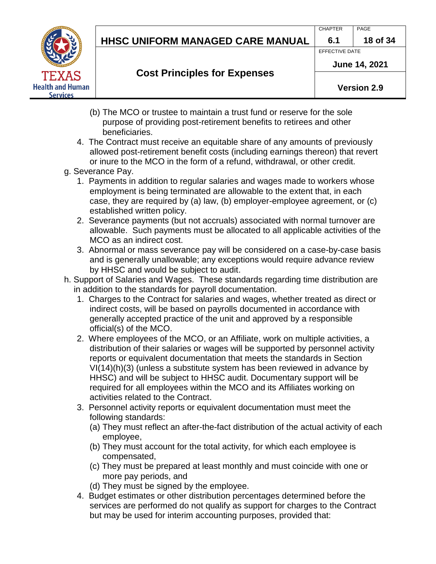

- (b) The MCO or trustee to maintain a trust fund or reserve for the sole purpose of providing post-retirement benefits to retirees and other beneficiaries.
- 4. The Contract must receive an equitable share of any amounts of previously allowed post-retirement benefit costs (including earnings thereon) that revert or inure to the MCO in the form of a refund, withdrawal, or other credit.
- g. Severance Pay.
	- 1. Payments in addition to regular salaries and wages made to workers whose employment is being terminated are allowable to the extent that, in each case, they are required by (a) law, (b) employer-employee agreement, or (c) established written policy.
	- 2. Severance payments (but not accruals) associated with normal turnover are allowable. Such payments must be allocated to all applicable activities of the MCO as an indirect cost.
	- 3. Abnormal or mass severance pay will be considered on a case-by-case basis and is generally unallowable; any exceptions would require advance review by HHSC and would be subject to audit.
- h. Support of Salaries and Wages. These standards regarding time distribution are in addition to the standards for payroll documentation.
	- 1. Charges to the Contract for salaries and wages, whether treated as direct or indirect costs, will be based on payrolls documented in accordance with generally accepted practice of the unit and approved by a responsible official(s) of the MCO.
	- 2. Where employees of the MCO, or an Affiliate, work on multiple activities, a distribution of their salaries or wages will be supported by personnel activity reports or equivalent documentation that meets the standards in Section VI(14)(h)(3) (unless a substitute system has been reviewed in advance by HHSC) and will be subject to HHSC audit. Documentary support will be required for all employees within the MCO and its Affiliates working on activities related to the Contract.
	- 3. Personnel activity reports or equivalent documentation must meet the following standards:
		- (a) They must reflect an after-the-fact distribution of the actual activity of each employee,
		- (b) They must account for the total activity, for which each employee is compensated,
		- (c) They must be prepared at least monthly and must coincide with one or more pay periods, and
		- (d) They must be signed by the employee.
	- 4. Budget estimates or other distribution percentages determined before the services are performed do not qualify as support for charges to the Contract but may be used for interim accounting purposes, provided that:

EFFECTIVE DATE

**June 14, 2021**

**Version 2.9**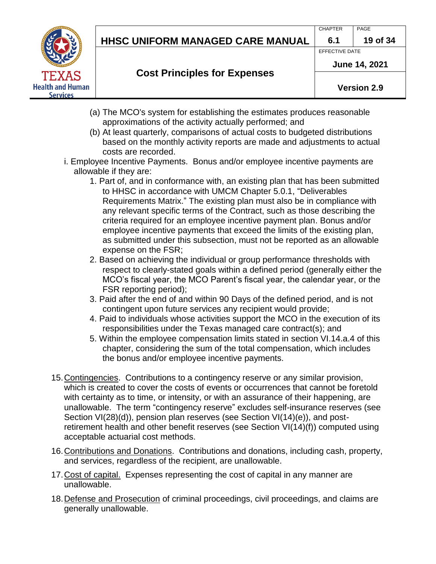

- (a) The MCO's system for establishing the estimates produces reasonable approximations of the activity actually performed; and
- (b) At least quarterly, comparisons of actual costs to budgeted distributions based on the monthly activity reports are made and adjustments to actual costs are recorded.
- i. Employee Incentive Payments. Bonus and/or employee incentive payments are allowable if they are:
	- 1. Part of, and in conformance with, an existing plan that has been submitted to HHSC in accordance with UMCM Chapter 5.0.1, "Deliverables Requirements Matrix." The existing plan must also be in compliance with any relevant specific terms of the Contract, such as those describing the criteria required for an employee incentive payment plan. Bonus and/or employee incentive payments that exceed the limits of the existing plan, as submitted under this subsection, must not be reported as an allowable expense on the FSR;
	- 2. Based on achieving the individual or group performance thresholds with respect to clearly-stated goals within a defined period (generally either the MCO's fiscal year, the MCO Parent's fiscal year, the calendar year, or the FSR reporting period);
	- 3. Paid after the end of and within 90 Days of the defined period, and is not contingent upon future services any recipient would provide;
	- 4. Paid to individuals whose activities support the MCO in the execution of its responsibilities under the Texas managed care contract(s); and
	- 5. Within the employee compensation limits stated in section VI.14.a.4 of this chapter, considering the sum of the total compensation, which includes the bonus and/or employee incentive payments.
- 15.Contingencies. Contributions to a contingency reserve or any similar provision, which is created to cover the costs of events or occurrences that cannot be foretold with certainty as to time, or intensity, or with an assurance of their happening, are unallowable. The term "contingency reserve" excludes self-insurance reserves (see Section VI(28)(d)), pension plan reserves (see Section VI(14)(e)), and postretirement health and other benefit reserves (see Section VI(14)(f)) computed using acceptable actuarial cost methods.
- 16.Contributions and Donations. Contributions and donations, including cash, property, and services, regardless of the recipient, are unallowable.
- 17. Cost of capital. Expenses representing the cost of capital in any manner are unallowable.
- 18.Defense and Prosecution of criminal proceedings, civil proceedings, and claims are generally unallowable.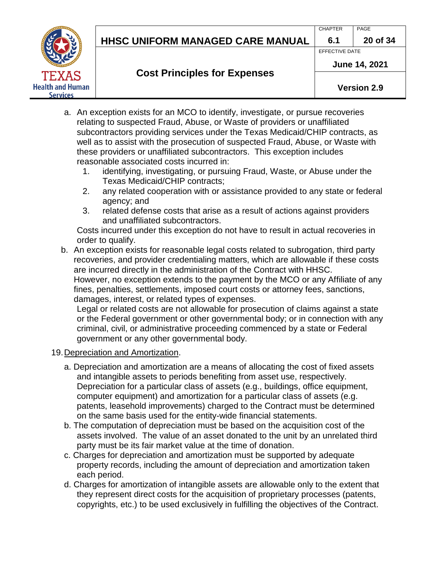

- a. An exception exists for an MCO to identify, investigate, or pursue recoveries relating to suspected Fraud, Abuse, or Waste of providers or unaffiliated subcontractors providing services under the Texas Medicaid/CHIP contracts, as well as to assist with the prosecution of suspected Fraud, Abuse, or Waste with these providers or unaffiliated subcontractors. This exception includes reasonable associated costs incurred in:
	- 1. identifying, investigating, or pursuing Fraud, Waste, or Abuse under the Texas Medicaid/CHIP contracts;
	- 2. any related cooperation with or assistance provided to any state or federal agency; and
	- 3. related defense costs that arise as a result of actions against providers and unaffiliated subcontractors.

Costs incurred under this exception do not have to result in actual recoveries in order to qualify.

b. An exception exists for reasonable legal costs related to subrogation, third party recoveries, and provider credentialing matters, which are allowable if these costs are incurred directly in the administration of the Contract with HHSC. However, no exception extends to the payment by the MCO or any Affiliate of any fines, penalties, settlements, imposed court costs or attorney fees, sanctions, damages, interest, or related types of expenses.

Legal or related costs are not allowable for prosecution of claims against a state or the Federal government or other governmental body; or in connection with any criminal, civil, or administrative proceeding commenced by a state or Federal government or any other governmental body.

- 19.Depreciation and Amortization.
	- a. Depreciation and amortization are a means of allocating the cost of fixed assets and intangible assets to periods benefiting from asset use, respectively. Depreciation for a particular class of assets (e.g., buildings, office equipment, computer equipment) and amortization for a particular class of assets (e.g. patents, leasehold improvements) charged to the Contract must be determined on the same basis used for the entity-wide financial statements.
	- b. The computation of depreciation must be based on the acquisition cost of the assets involved. The value of an asset donated to the unit by an unrelated third party must be its fair market value at the time of donation.
	- c. Charges for depreciation and amortization must be supported by adequate property records, including the amount of depreciation and amortization taken each period.
	- d. Charges for amortization of intangible assets are allowable only to the extent that they represent direct costs for the acquisition of proprietary processes (patents, copyrights, etc.) to be used exclusively in fulfilling the objectives of the Contract.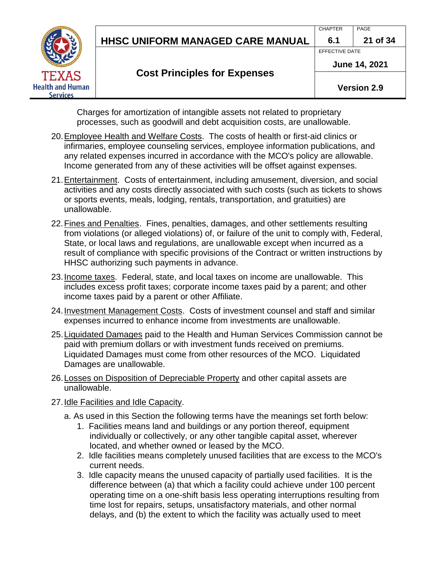

Charges for amortization of intangible assets not related to proprietary processes, such as goodwill and debt acquisition costs, are unallowable.

- 20.Employee Health and Welfare Costs. The costs of health or first-aid clinics or infirmaries, employee counseling services, employee information publications, and any related expenses incurred in accordance with the MCO's policy are allowable. Income generated from any of these activities will be offset against expenses.
- 21.Entertainment. Costs of entertainment, including amusement, diversion, and social activities and any costs directly associated with such costs (such as tickets to shows or sports events, meals, lodging, rentals, transportation, and gratuities) are unallowable.
- 22.Fines and Penalties. Fines, penalties, damages, and other settlements resulting from violations (or alleged violations) of, or failure of the unit to comply with, Federal, State, or local laws and regulations, are unallowable except when incurred as a result of compliance with specific provisions of the Contract or written instructions by HHSC authorizing such payments in advance.
- 23.Income taxes. Federal, state, and local taxes on income are unallowable. This includes excess profit taxes; corporate income taxes paid by a parent; and other income taxes paid by a parent or other Affiliate.
- 24.Investment Management Costs. Costs of investment counsel and staff and similar expenses incurred to enhance income from investments are unallowable.
- 25.Liquidated Damages paid to the Health and Human Services Commission cannot be paid with premium dollars or with investment funds received on premiums. Liquidated Damages must come from other resources of the MCO. Liquidated Damages are unallowable.
- 26.Losses on Disposition of Depreciable Property and other capital assets are unallowable.
- 27.Idle Facilities and Idle Capacity.
	- a. As used in this Section the following terms have the meanings set forth below:
		- 1. Facilities means land and buildings or any portion thereof, equipment individually or collectively, or any other tangible capital asset, wherever located, and whether owned or leased by the MCO.
		- 2. Idle facilities means completely unused facilities that are excess to the MCO's current needs.
		- 3. Idle capacity means the unused capacity of partially used facilities. It is the difference between (a) that which a facility could achieve under 100 percent operating time on a one-shift basis less operating interruptions resulting from time lost for repairs, setups, unsatisfactory materials, and other normal delays, and (b) the extent to which the facility was actually used to meet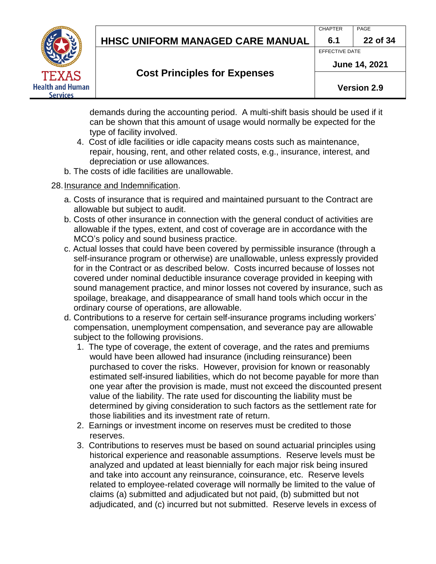

demands during the accounting period. A multi-shift basis should be used if it can be shown that this amount of usage would normally be expected for the type of facility involved.

- 4. Cost of idle facilities or idle capacity means costs such as maintenance, repair, housing, rent, and other related costs, e.g., insurance, interest, and depreciation or use allowances.
- b. The costs of idle facilities are unallowable.

#### 28.Insurance and Indemnification.

- a. Costs of insurance that is required and maintained pursuant to the Contract are allowable but subject to audit.
- b. Costs of other insurance in connection with the general conduct of activities are allowable if the types, extent, and cost of coverage are in accordance with the MCO's policy and sound business practice.
- c. Actual losses that could have been covered by permissible insurance (through a self-insurance program or otherwise) are unallowable, unless expressly provided for in the Contract or as described below. Costs incurred because of losses not covered under nominal deductible insurance coverage provided in keeping with sound management practice, and minor losses not covered by insurance, such as spoilage, breakage, and disappearance of small hand tools which occur in the ordinary course of operations, are allowable.
- d. Contributions to a reserve for certain self-insurance programs including workers' compensation, unemployment compensation, and severance pay are allowable subject to the following provisions.
	- 1. The type of coverage, the extent of coverage, and the rates and premiums would have been allowed had insurance (including reinsurance) been purchased to cover the risks. However, provision for known or reasonably estimated self-insured liabilities, which do not become payable for more than one year after the provision is made, must not exceed the discounted present value of the liability. The rate used for discounting the liability must be determined by giving consideration to such factors as the settlement rate for those liabilities and its investment rate of return.
	- 2. Earnings or investment income on reserves must be credited to those reserves.
	- 3. Contributions to reserves must be based on sound actuarial principles using historical experience and reasonable assumptions. Reserve levels must be analyzed and updated at least biennially for each major risk being insured and take into account any reinsurance, coinsurance, etc. Reserve levels related to employee-related coverage will normally be limited to the value of claims (a) submitted and adjudicated but not paid, (b) submitted but not adjudicated, and (c) incurred but not submitted. Reserve levels in excess of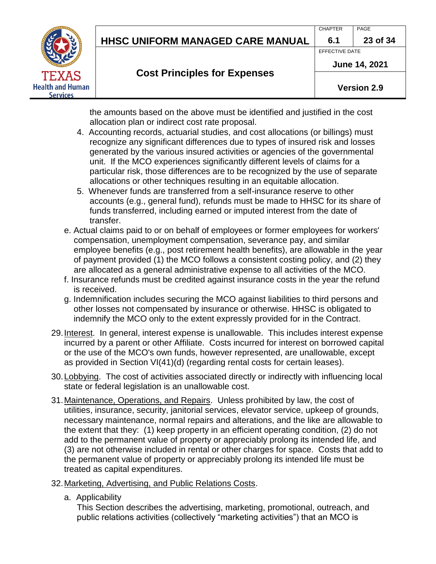

the amounts based on the above must be identified and justified in the cost allocation plan or indirect cost rate proposal.

- 4. Accounting records, actuarial studies, and cost allocations (or billings) must recognize any significant differences due to types of insured risk and losses generated by the various insured activities or agencies of the governmental unit. If the MCO experiences significantly different levels of claims for a particular risk, those differences are to be recognized by the use of separate allocations or other techniques resulting in an equitable allocation.
- 5. Whenever funds are transferred from a self-insurance reserve to other accounts (e.g., general fund), refunds must be made to HHSC for its share of funds transferred, including earned or imputed interest from the date of transfer.
- e. Actual claims paid to or on behalf of employees or former employees for workers' compensation, unemployment compensation, severance pay, and similar employee benefits (e.g., post retirement health benefits), are allowable in the year of payment provided (1) the MCO follows a consistent costing policy, and (2) they are allocated as a general administrative expense to all activities of the MCO.
- f. Insurance refunds must be credited against insurance costs in the year the refund is received.
- g. Indemnification includes securing the MCO against liabilities to third persons and other losses not compensated by insurance or otherwise. HHSC is obligated to indemnify the MCO only to the extent expressly provided for in the Contract.
- 29.Interest. In general, interest expense is unallowable. This includes interest expense incurred by a parent or other Affiliate. Costs incurred for interest on borrowed capital or the use of the MCO's own funds, however represented, are unallowable, except as provided in Section VI(41)(d) (regarding rental costs for certain leases).
- 30.Lobbying. The cost of activities associated directly or indirectly with influencing local state or federal legislation is an unallowable cost.
- 31.Maintenance, Operations, and Repairs. Unless prohibited by law, the cost of utilities, insurance, security, janitorial services, elevator service, upkeep of grounds, necessary maintenance, normal repairs and alterations, and the like are allowable to the extent that they: (1) keep property in an efficient operating condition, (2) do not add to the permanent value of property or appreciably prolong its intended life, and (3) are not otherwise included in rental or other charges for space. Costs that add to the permanent value of property or appreciably prolong its intended life must be treated as capital expenditures.
- 32.Marketing, Advertising, and Public Relations Costs.
	- a. Applicability

This Section describes the advertising, marketing, promotional, outreach, and public relations activities (collectively "marketing activities") that an MCO is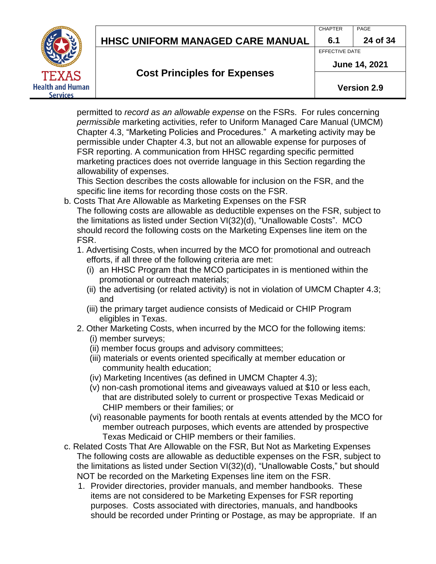|                                                            |                                         | <b>CHAPTER</b> | PAGE               |  |
|------------------------------------------------------------|-----------------------------------------|----------------|--------------------|--|
|                                                            | <b>HHSC UNIFORM MANAGED CARE MANUAL</b> | 6.1            | 24 of 34           |  |
|                                                            |                                         |                | EFFECTIVE DATE     |  |
|                                                            |                                         | June 14, 2021  |                    |  |
| <b>TEXAS</b><br><b>Health and Human</b><br><b>Services</b> | <b>Cost Principles for Expenses</b>     |                | <b>Version 2.9</b> |  |
|                                                            |                                         |                |                    |  |

permitted to *record as an allowable expense* on the FSRs. For rules concerning *permissible* marketing activities, refer to Uniform Managed Care Manual (UMCM) Chapter 4.3, "Marketing Policies and Procedures." A marketing activity may be permissible under Chapter 4.3, but not an allowable expense for purposes of FSR reporting. A communication from HHSC regarding specific permitted marketing practices does not override language in this Section regarding the allowability of expenses.

This Section describes the costs allowable for inclusion on the FSR, and the specific line items for recording those costs on the FSR.

- b. Costs That Are Allowable as Marketing Expenses on the FSR The following costs are allowable as deductible expenses on the FSR, subject to the limitations as listed under Section VI(32)(d), "Unallowable Costs". MCO should record the following costs on the Marketing Expenses line item on the FSR.
	- 1. Advertising Costs, when incurred by the MCO for promotional and outreach efforts, if all three of the following criteria are met:
		- (i) an HHSC Program that the MCO participates in is mentioned within the promotional or outreach materials;
		- (ii) the advertising (or related activity) is not in violation of UMCM Chapter 4.3; and
		- (iii) the primary target audience consists of Medicaid or CHIP Program eligibles in Texas.
	- 2. Other Marketing Costs, when incurred by the MCO for the following items:
		- (i) member surveys;
		- (ii) member focus groups and advisory committees;
		- (iii) materials or events oriented specifically at member education or community health education;
		- (iv) Marketing Incentives (as defined in UMCM Chapter 4.3);
		- (v) non-cash promotional items and giveaways valued at \$10 or less each, that are distributed solely to current or prospective Texas Medicaid or CHIP members or their families; or
		- (vi) reasonable payments for booth rentals at events attended by the MCO for member outreach purposes, which events are attended by prospective Texas Medicaid or CHIP members or their families.
- c. Related Costs That Are Allowable on the FSR, But Not as Marketing Expenses The following costs are allowable as deductible expenses on the FSR, subject to the limitations as listed under Section VI(32)(d), "Unallowable Costs," but should NOT be recorded on the Marketing Expenses line item on the FSR.
	- 1. Provider directories, provider manuals, and member handbooks. These items are not considered to be Marketing Expenses for FSR reporting purposes. Costs associated with directories, manuals, and handbooks should be recorded under Printing or Postage, as may be appropriate. If an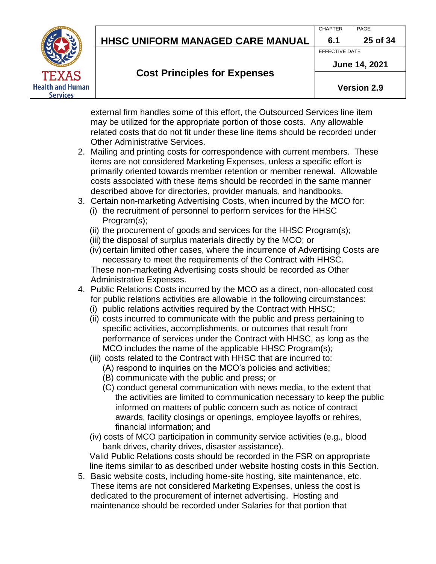

external firm handles some of this effort, the Outsourced Services line item may be utilized for the appropriate portion of those costs. Any allowable related costs that do not fit under these line items should be recorded under Other Administrative Services.

- 2. Mailing and printing costs for correspondence with current members. These items are not considered Marketing Expenses, unless a specific effort is primarily oriented towards member retention or member renewal. Allowable costs associated with these items should be recorded in the same manner described above for directories, provider manuals, and handbooks.
- 3. Certain non-marketing Advertising Costs, when incurred by the MCO for:
	- (i) the recruitment of personnel to perform services for the HHSC Program(s);
	- (ii) the procurement of goods and services for the HHSC Program(s);
	- (iii) the disposal of surplus materials directly by the MCO; or
	- (iv) certain limited other cases, where the incurrence of Advertising Costs are necessary to meet the requirements of the Contract with HHSC. These non-marketing Advertising costs should be recorded as Other Administrative Expenses.
- 4. Public Relations Costs incurred by the MCO as a direct, non-allocated cost for public relations activities are allowable in the following circumstances:
	- (i) public relations activities required by the Contract with HHSC;
	- (ii) costs incurred to communicate with the public and press pertaining to specific activities, accomplishments, or outcomes that result from performance of services under the Contract with HHSC, as long as the MCO includes the name of the applicable HHSC Program(s);
	- (iii) costs related to the Contract with HHSC that are incurred to: (A) respond to inquiries on the MCO's policies and activities;
		- (B) communicate with the public and press; or
		- (C) conduct general communication with news media, to the extent that the activities are limited to communication necessary to keep the public informed on matters of public concern such as notice of contract awards, facility closings or openings, employee layoffs or rehires, financial information; and
	- (iv) costs of MCO participation in community service activities (e.g., blood bank drives, charity drives, disaster assistance).

Valid Public Relations costs should be recorded in the FSR on appropriate line items similar to as described under website hosting costs in this Section.

5. Basic website costs, including home-site hosting, site maintenance, etc. These items are not considered Marketing Expenses, unless the cost is dedicated to the procurement of internet advertising. Hosting and maintenance should be recorded under Salaries for that portion that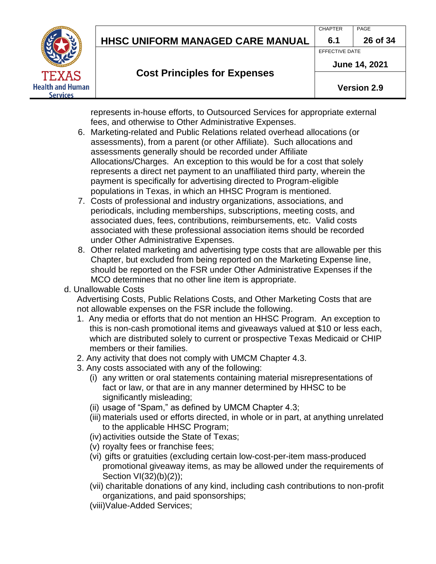

# **HHSC Uniform Managed Care MANUAL HHSC UNIFORM MANAGED CARE MANUAL 6.1 26 of 34**

CHAPTER PAGE

#### EFFECTIVE DATE

### **Cost Principles for Expenses**

**June 14, 2021**

**Version 2.9**

represents in-house efforts, to Outsourced Services for appropriate external fees, and otherwise to Other Administrative Expenses.

- 6. Marketing-related and Public Relations related overhead allocations (or assessments), from a parent (or other Affiliate). Such allocations and assessments generally should be recorded under Affiliate Allocations/Charges. An exception to this would be for a cost that solely represents a direct net payment to an unaffiliated third party, wherein the payment is specifically for advertising directed to Program-eligible populations in Texas, in which an HHSC Program is mentioned.
- 7. Costs of professional and industry organizations, associations, and periodicals, including memberships, subscriptions, meeting costs, and associated dues, fees, contributions, reimbursements, etc. Valid costs associated with these professional association items should be recorded under Other Administrative Expenses.
- 8. Other related marketing and advertising type costs that are allowable per this Chapter, but excluded from being reported on the Marketing Expense line, should be reported on the FSR under Other Administrative Expenses if the MCO determines that no other line item is appropriate.
- d. Unallowable Costs

Advertising Costs, Public Relations Costs, and Other Marketing Costs that are not allowable expenses on the FSR include the following.

- 1. Any media or efforts that do not mention an HHSC Program. An exception to this is non-cash promotional items and giveaways valued at \$10 or less each, which are distributed solely to current or prospective Texas Medicaid or CHIP members or their families.
- 2. Any activity that does not comply with UMCM Chapter 4.3.
- 3. Any costs associated with any of the following:
	- (i) any written or oral statements containing material misrepresentations of fact or law, or that are in any manner determined by HHSC to be significantly misleading;
	- (ii) usage of "Spam," as defined by UMCM Chapter 4.3;
	- (iii) materials used or efforts directed, in whole or in part, at anything unrelated to the applicable HHSC Program;
	- (iv)activities outside the State of Texas;
	- (v) royalty fees or franchise fees;
	- (vi) gifts or gratuities (excluding certain low-cost-per-item mass-produced promotional giveaway items, as may be allowed under the requirements of Section VI(32)(b)(2));
	- (vii) charitable donations of any kind, including cash contributions to non-profit organizations, and paid sponsorships;
	- (viii)Value-Added Services;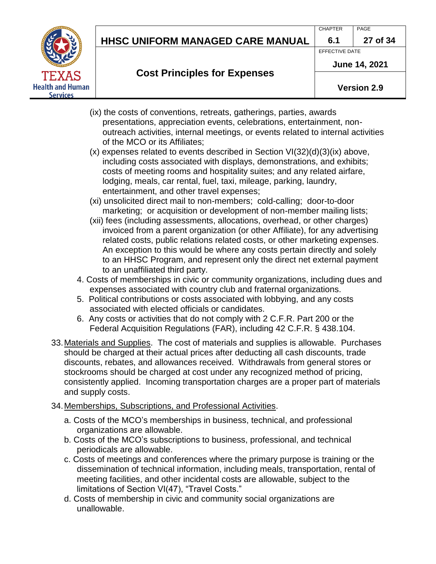

# **HHSC Uniform Managed Care MANUAL HHSC UNIFORM MANAGED CARE MANUAL 6.1 27 of 34**

CHAPTER PAGE

EFFECTIVE DATE

### **Cost Principles for Expenses**

**June 14, 2021**

**Version 2.9**

- (ix) the costs of conventions, retreats, gatherings, parties, awards presentations, appreciation events, celebrations, entertainment, nonoutreach activities, internal meetings, or events related to internal activities of the MCO or its Affiliates;
- (x) expenses related to events described in Section VI(32)(d)(3)(ix) above, including costs associated with displays, demonstrations, and exhibits; costs of meeting rooms and hospitality suites; and any related airfare, lodging, meals, car rental, fuel, taxi, mileage, parking, laundry, entertainment, and other travel expenses;
- (xi) unsolicited direct mail to non-members; cold-calling; door-to-door marketing; or acquisition or development of non-member mailing lists;
- (xii) fees (including assessments, allocations, overhead, or other charges) invoiced from a parent organization (or other Affiliate), for any advertising related costs, public relations related costs, or other marketing expenses. An exception to this would be where any costs pertain directly and solely to an HHSC Program, and represent only the direct net external payment to an unaffiliated third party.
- 4. Costs of memberships in civic or community organizations, including dues and expenses associated with country club and fraternal organizations.
- 5. Political contributions or costs associated with lobbying, and any costs associated with elected officials or candidates.
- 6. Any costs or activities that do not comply with 2 C.F.R. Part 200 or the Federal Acquisition Regulations (FAR), including 42 C.F.R. § 438.104.
- 33.Materials and Supplies. The cost of materials and supplies is allowable. Purchases should be charged at their actual prices after deducting all cash discounts, trade discounts, rebates, and allowances received. Withdrawals from general stores or stockrooms should be charged at cost under any recognized method of pricing, consistently applied. Incoming transportation charges are a proper part of materials and supply costs.

### 34.Memberships, Subscriptions, and Professional Activities.

- a. Costs of the MCO's memberships in business, technical, and professional organizations are allowable.
- b. Costs of the MCO's subscriptions to business, professional, and technical periodicals are allowable.
- c. Costs of meetings and conferences where the primary purpose is training or the dissemination of technical information, including meals, transportation, rental of meeting facilities, and other incidental costs are allowable, subject to the limitations of Section VI(47), "Travel Costs."
- d. Costs of membership in civic and community social organizations are unallowable.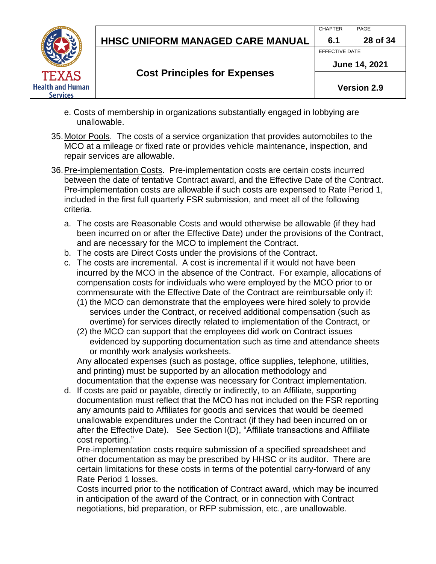

- e. Costs of membership in organizations substantially engaged in lobbying are unallowable.
- 35.Motor Pools. The costs of a service organization that provides automobiles to the MCO at a mileage or fixed rate or provides vehicle maintenance, inspection, and repair services are allowable.
- 36.Pre-implementation Costs. Pre-implementation costs are certain costs incurred between the date of tentative Contract award, and the Effective Date of the Contract. Pre-implementation costs are allowable if such costs are expensed to Rate Period 1, included in the first full quarterly FSR submission, and meet all of the following criteria.
	- a. The costs are Reasonable Costs and would otherwise be allowable (if they had been incurred on or after the Effective Date) under the provisions of the Contract, and are necessary for the MCO to implement the Contract.
	- b. The costs are Direct Costs under the provisions of the Contract.
	- c. The costs are incremental. A cost is incremental if it would not have been incurred by the MCO in the absence of the Contract. For example, allocations of compensation costs for individuals who were employed by the MCO prior to or commensurate with the Effective Date of the Contract are reimbursable only if:
		- (1) the MCO can demonstrate that the employees were hired solely to provide services under the Contract, or received additional compensation (such as overtime) for services directly related to implementation of the Contract, or
		- (2) the MCO can support that the employees did work on Contract issues evidenced by supporting documentation such as time and attendance sheets or monthly work analysis worksheets.

Any allocated expenses (such as postage, office supplies, telephone, utilities, and printing) must be supported by an allocation methodology and documentation that the expense was necessary for Contract implementation.

d. If costs are paid or payable, directly or indirectly, to an Affiliate, supporting documentation must reflect that the MCO has not included on the FSR reporting any amounts paid to Affiliates for goods and services that would be deemed unallowable expenditures under the Contract (if they had been incurred on or after the Effective Date). See Section I(D), "Affiliate transactions and Affiliate cost reporting."

Pre-implementation costs require submission of a specified spreadsheet and other documentation as may be prescribed by HHSC or its auditor. There are certain limitations for these costs in terms of the potential carry-forward of any Rate Period 1 losses.

Costs incurred prior to the notification of Contract award, which may be incurred in anticipation of the award of the Contract, or in connection with Contract negotiations, bid preparation, or RFP submission, etc., are unallowable.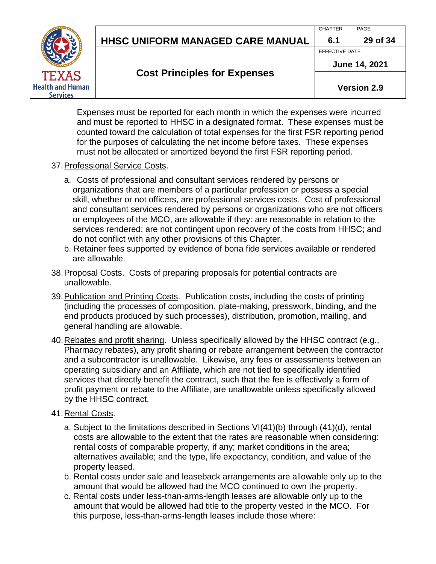

Expenses must be reported for each month in which the expenses were incurred and must be reported to HHSC in a designated format. These expenses must be counted toward the calculation of total expenses for the first FSR reporting period for the purposes of calculating the net income before taxes. These expenses must not be allocated or amortized beyond the first FSR reporting period.

- 37.Professional Service Costs.
	- a. Costs of professional and consultant services rendered by persons or organizations that are members of a particular profession or possess a special skill, whether or not officers, are professional services costs. Cost of professional and consultant services rendered by persons or organizations who are not officers or employees of the MCO, are allowable if they: are reasonable in relation to the services rendered; are not contingent upon recovery of the costs from HHSC; and do not conflict with any other provisions of this Chapter.
	- b. Retainer fees supported by evidence of bona fide services available or rendered are allowable.
- 38. Proposal Costs. Costs of preparing proposals for potential contracts are unallowable.
- 39.Publication and Printing Costs. Publication costs, including the costs of printing (including the processes of composition, plate-making, presswork, binding, and the end products produced by such processes), distribution, promotion, mailing, and general handling are allowable.
- 40.Rebates and profit sharing. Unless specifically allowed by the HHSC contract (e.g., Pharmacy rebates), any profit sharing or rebate arrangement between the contractor and a subcontractor is unallowable. Likewise, any fees or assessments between an operating subsidiary and an Affiliate, which are not tied to specifically identified services that directly benefit the contract, such that the fee is effectively a form of profit payment or rebate to the Affiliate, are unallowable unless specifically allowed by the HHSC contract.
- 41.Rental Costs.
	- a. Subject to the limitations described in Sections VI(41)(b) through (41)(d), rental costs are allowable to the extent that the rates are reasonable when considering: rental costs of comparable property, if any; market conditions in the area; alternatives available; and the type, life expectancy, condition, and value of the property leased.
	- b. Rental costs under sale and leaseback arrangements are allowable only up to the amount that would be allowed had the MCO continued to own the property.
	- c. Rental costs under less-than-arms-length leases are allowable only up to the amount that would be allowed had title to the property vested in the MCO. For this purpose, less-than-arms-length leases include those where: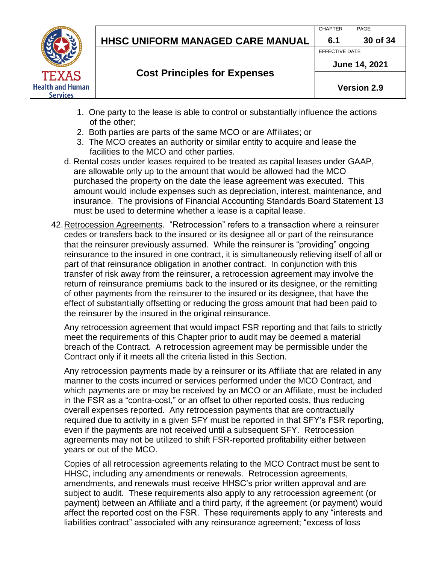

- 1. One party to the lease is able to control or substantially influence the actions of the other;
- 2. Both parties are parts of the same MCO or are Affiliates; or
- 3. The MCO creates an authority or similar entity to acquire and lease the facilities to the MCO and other parties.
- d. Rental costs under leases required to be treated as capital leases under GAAP, are allowable only up to the amount that would be allowed had the MCO purchased the property on the date the lease agreement was executed. This amount would include expenses such as depreciation, interest, maintenance, and insurance. The provisions of Financial Accounting Standards Board Statement 13 must be used to determine whether a lease is a capital lease.
- 42.Retrocession Agreements. "Retrocession" refers to a transaction where a reinsurer cedes or transfers back to the insured or its designee all or part of the reinsurance that the reinsurer previously assumed. While the reinsurer is "providing" ongoing reinsurance to the insured in one contract, it is simultaneously relieving itself of all or part of that reinsurance obligation in another contract. In conjunction with this transfer of risk away from the reinsurer, a retrocession agreement may involve the return of reinsurance premiums back to the insured or its designee, or the remitting of other payments from the reinsurer to the insured or its designee, that have the effect of substantially offsetting or reducing the gross amount that had been paid to the reinsurer by the insured in the original reinsurance.

Any retrocession agreement that would impact FSR reporting and that fails to strictly meet the requirements of this Chapter prior to audit may be deemed a material breach of the Contract. A retrocession agreement may be permissible under the Contract only if it meets all the criteria listed in this Section.

Any retrocession payments made by a reinsurer or its Affiliate that are related in any manner to the costs incurred or services performed under the MCO Contract, and which payments are or may be received by an MCO or an Affiliate, must be included in the FSR as a "contra-cost," or an offset to other reported costs, thus reducing overall expenses reported. Any retrocession payments that are contractually required due to activity in a given SFY must be reported in that SFY's FSR reporting, even if the payments are not received until a subsequent SFY. Retrocession agreements may not be utilized to shift FSR-reported profitability either between years or out of the MCO.

Copies of all retrocession agreements relating to the MCO Contract must be sent to HHSC, including any amendments or renewals. Retrocession agreements, amendments, and renewals must receive HHSC's prior written approval and are subject to audit. These requirements also apply to any retrocession agreement (or payment) between an Affiliate and a third party, if the agreement (or payment) would affect the reported cost on the FSR. These requirements apply to any "interests and liabilities contract" associated with any reinsurance agreement; "excess of loss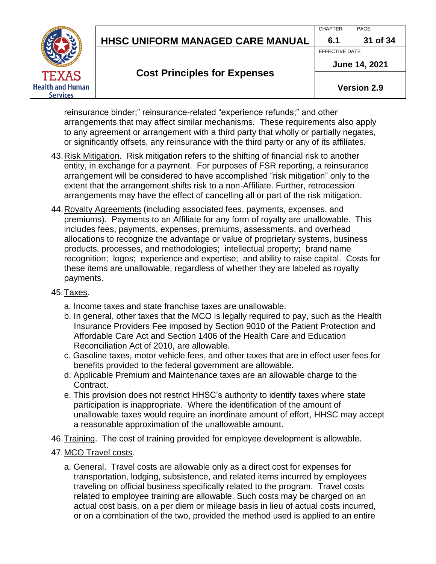

reinsurance binder;" reinsurance-related "experience refunds;" and other arrangements that may affect similar mechanisms. These requirements also apply to any agreement or arrangement with a third party that wholly or partially negates, or significantly offsets, any reinsurance with the third party or any of its affiliates.

- 43. Risk Mitigation. Risk mitigation refers to the shifting of financial risk to another entity, in exchange for a payment. For purposes of FSR reporting, a reinsurance arrangement will be considered to have accomplished "risk mitigation" only to the extent that the arrangement shifts risk to a non-Affiliate. Further, retrocession arrangements may have the effect of cancelling all or part of the risk mitigation.
- 44.Royalty Agreements (including associated fees, payments, expenses, and premiums). Payments to an Affiliate for any form of royalty are unallowable. This includes fees, payments, expenses, premiums, assessments, and overhead allocations to recognize the advantage or value of proprietary systems, business products, processes, and methodologies; intellectual property; brand name recognition; logos; experience and expertise; and ability to raise capital. Costs for these items are unallowable, regardless of whether they are labeled as royalty payments.

### 45.Taxes.

- a. Income taxes and state franchise taxes are unallowable.
- b. In general, other taxes that the MCO is legally required to pay, such as the Health Insurance Providers Fee imposed by Section 9010 of the Patient Protection and Affordable Care Act and Section 1406 of the Health Care and Education Reconciliation Act of 2010, are allowable.
- c. Gasoline taxes, motor vehicle fees, and other taxes that are in effect user fees for benefits provided to the federal government are allowable.
- d. Applicable Premium and Maintenance taxes are an allowable charge to the Contract.
- e. This provision does not restrict HHSC's authority to identify taxes where state participation is inappropriate. Where the identification of the amount of unallowable taxes would require an inordinate amount of effort, HHSC may accept a reasonable approximation of the unallowable amount.
- 46.Training. The cost of training provided for employee development is allowable.
- 47.MCO Travel costs.
	- a. General. Travel costs are allowable only as a direct cost for expenses for transportation, lodging, subsistence, and related items incurred by employees traveling on official business specifically related to the program. Travel costs related to employee training are allowable. Such costs may be charged on an actual cost basis, on a per diem or mileage basis in lieu of actual costs incurred, or on a combination of the two, provided the method used is applied to an entire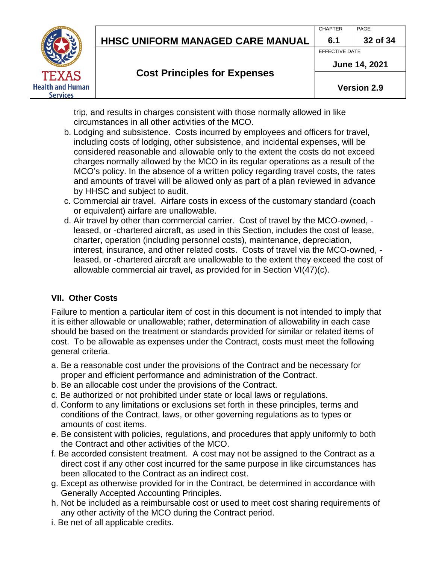

trip, and results in charges consistent with those normally allowed in like circumstances in all other activities of the MCO.

- b. Lodging and subsistence. Costs incurred by employees and officers for travel, including costs of lodging, other subsistence, and incidental expenses, will be considered reasonable and allowable only to the extent the costs do not exceed charges normally allowed by the MCO in its regular operations as a result of the MCO's policy. In the absence of a written policy regarding travel costs, the rates and amounts of travel will be allowed only as part of a plan reviewed in advance by HHSC and subject to audit.
- c. Commercial air travel. Airfare costs in excess of the customary standard (coach or equivalent) airfare are unallowable.
- d. Air travel by other than commercial carrier. Cost of travel by the MCO-owned, leased, or -chartered aircraft, as used in this Section, includes the cost of lease, charter, operation (including personnel costs), maintenance, depreciation, interest, insurance, and other related costs. Costs of travel via the MCO-owned, leased, or -chartered aircraft are unallowable to the extent they exceed the cost of allowable commercial air travel, as provided for in Section VI(47)(c).

### **VII. Other Costs**

Failure to mention a particular item of cost in this document is not intended to imply that it is either allowable or unallowable; rather, determination of allowability in each case should be based on the treatment or standards provided for similar or related items of cost. To be allowable as expenses under the Contract, costs must meet the following general criteria.

- a. Be a reasonable cost under the provisions of the Contract and be necessary for proper and efficient performance and administration of the Contract.
- b. Be an allocable cost under the provisions of the Contract.
- c. Be authorized or not prohibited under state or local laws or regulations.
- d. Conform to any limitations or exclusions set forth in these principles, terms and conditions of the Contract, laws, or other governing regulations as to types or amounts of cost items.
- e. Be consistent with policies, regulations, and procedures that apply uniformly to both the Contract and other activities of the MCO.
- f. Be accorded consistent treatment. A cost may not be assigned to the Contract as a direct cost if any other cost incurred for the same purpose in like circumstances has been allocated to the Contract as an indirect cost.
- g. Except as otherwise provided for in the Contract, be determined in accordance with Generally Accepted Accounting Principles.
- h. Not be included as a reimbursable cost or used to meet cost sharing requirements of any other activity of the MCO during the Contract period.
- i. Be net of all applicable credits.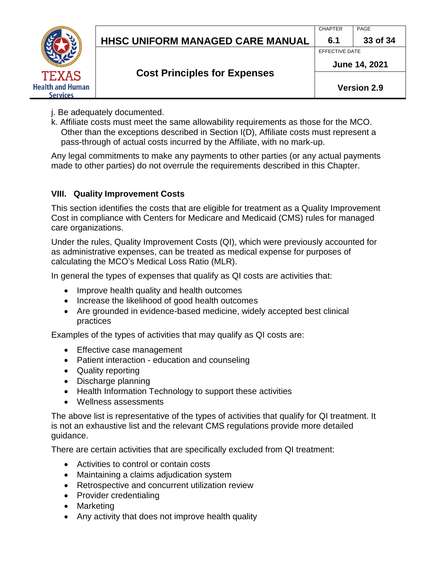

- j. Be adequately documented.
- k. Affiliate costs must meet the same allowability requirements as those for the MCO. Other than the exceptions described in Section I(D), Affiliate costs must represent a pass-through of actual costs incurred by the Affiliate, with no mark-up.

Any legal commitments to make any payments to other parties (or any actual payments made to other parties) do not overrule the requirements described in this Chapter.

### **VIII. Quality Improvement Costs**

This section identifies the costs that are eligible for treatment as a Quality Improvement Cost in compliance with Centers for Medicare and Medicaid (CMS) rules for managed care organizations.

Under the rules, Quality Improvement Costs (QI), which were previously accounted for as administrative expenses, can be treated as medical expense for purposes of calculating the MCO's Medical Loss Ratio (MLR).

In general the types of expenses that qualify as QI costs are activities that:

- Improve health quality and health outcomes
- Increase the likelihood of good health outcomes
- Are grounded in evidence-based medicine, widely accepted best clinical practices

Examples of the types of activities that may qualify as QI costs are:

- Effective case management
- Patient interaction education and counseling
- Quality reporting
- Discharge planning
- Health Information Technology to support these activities
- Wellness assessments

The above list is representative of the types of activities that qualify for QI treatment. It is not an exhaustive list and the relevant CMS regulations provide more detailed guidance.

There are certain activities that are specifically excluded from QI treatment:

- Activities to control or contain costs
- Maintaining a claims adjudication system
- Retrospective and concurrent utilization review
- Provider credentialing
- Marketing
- Any activity that does not improve health quality